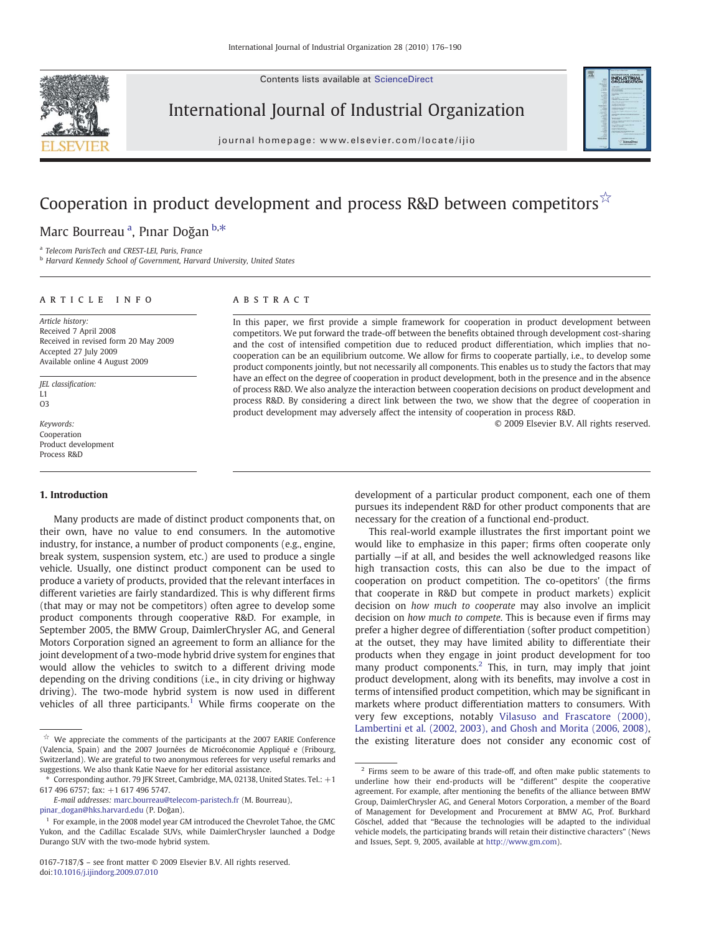Contents lists available at ScienceDirect



International Journal of Industrial Organization



 $j$  or expression extension a large set  $\mathcal{L}$  .

# Cooperation in product development and process R&D between competitors  $\overrightarrow{x}$

Marc Bourreau <sup>a</sup>, Pınar Doğan <sup>b,\*</sup>

<sup>a</sup> Telecom ParisTech and CREST-LEI, Paris, France

**b** Harvard Kennedy School of Government, Harvard University, United States

#### article info abstract

Article history: Received 7 April 2008 Received in revised form 20 May 2009 Accepted 27 July 2009 Available online 4 August 2009

JEL classification:  $L1$ O3

Keywords: Cooperation Product development Process R&D

### 1. Introduction

Many products are made of distinct product components that, on their own, have no value to end consumers. In the automotive industry, for instance, a number of product components (e.g., engine, break system, suspension system, etc.) are used to produce a single vehicle. Usually, one distinct product component can be used to produce a variety of products, provided that the relevant interfaces in different varieties are fairly standardized. This is why different firms (that may or may not be competitors) often agree to develop some product components through cooperative R&D. For example, in September 2005, the BMW Group, DaimlerChrysler AG, and General Motors Corporation signed an agreement to form an alliance for the joint development of a two-mode hybrid drive system for engines that would allow the vehicles to switch to a different driving mode depending on the driving conditions (i.e., in city driving or highway driving). The two-mode hybrid system is now used in different vehicles of all three participants.<sup>1</sup> While firms cooperate on the

In this paper, we first provide a simple framework for cooperation in product development between competitors. We put forward the trade-off between the benefits obtained through development cost-sharing and the cost of intensified competition due to reduced product differentiation, which implies that nocooperation can be an equilibrium outcome. We allow for firms to cooperate partially, i.e., to develop some product components jointly, but not necessarily all components. This enables us to study the factors that may have an effect on the degree of cooperation in product development, both in the presence and in the absence of process R&D. We also analyze the interaction between cooperation decisions on product development and process R&D. By considering a direct link between the two, we show that the degree of cooperation in product development may adversely affect the intensity of cooperation in process R&D.

© 2009 Elsevier B.V. All rights reserved.

development of a particular product component, each one of them pursues its independent R&D for other product components that are necessary for the creation of a functional end-product.

This real-world example illustrates the first important point we would like to emphasize in this paper; firms often cooperate only partially —if at all, and besides the well acknowledged reasons like high transaction costs, this can also be due to the impact of cooperation on product competition. The co-opetitors' (the firms that cooperate in R&D but compete in product markets) explicit decision on how much to cooperate may also involve an implicit decision on how much to compete. This is because even if firms may prefer a higher degree of differentiation (softer product competition) at the outset, they may have limited ability to differentiate their products when they engage in joint product development for too many product components. $2$  This, in turn, may imply that joint product development, along with its benefits, may involve a cost in terms of intensified product competition, which may be significant in markets where product differentiation matters to consumers. With very few exceptions, notably [Vilasuso and Frascatore \(2000\),](#page--1-0) [Lambertini et al. \(2002, 2003\), and Ghosh and Morita \(2006, 2008\),](#page--1-0)  $\overrightarrow{x}$  We appreciate the comments of the participants at the 2007 EARIE Conference the existing literature does not consider any economic cost of

<sup>(</sup>Valencia, Spain) and the 2007 Journées de Microéconomie Appliqué e (Fribourg, Switzerland). We are grateful to two anonymous referees for very useful remarks and suggestions. We also thank Katie Naeve for her editorial assistance.

<sup>⁎</sup> Corresponding author. 79 JFK Street, Cambridge, MA, 02138, United States. Tel.: +1 617 496 6757; fax: +1 617 496 5747.

E-mail addresses: [marc.bourreau@telecom-paristech.fr](mailto:marc.bourreau@telecom-paristech.fr) (M. Bourreau),

[pinar\\_dogan@hks.harvard.edu](mailto:pinar_dogan@hks.harvard.edu) (P. Doğan).

<sup>&</sup>lt;sup>1</sup> For example, in the 2008 model year GM introduced the Chevrolet Tahoe, the GMC Yukon, and the Cadillac Escalade SUVs, while DaimlerChrysler launched a Dodge Durango SUV with the two-mode hybrid system.

 $2$  Firms seem to be aware of this trade-off, and often make public statements to underline how their end-products will be "different" despite the cooperative agreement. For example, after mentioning the benefits of the alliance between BMW Group, DaimlerChrysler AG, and General Motors Corporation, a member of the Board of Management for Development and Procurement at BMW AG, Prof. Burkhard Göschel, added that "Because the technologies will be adapted to the individual vehicle models, the participating brands will retain their distinctive characters" (News and Issues, Sept. 9, 2005, available at <http://www.gm.com>).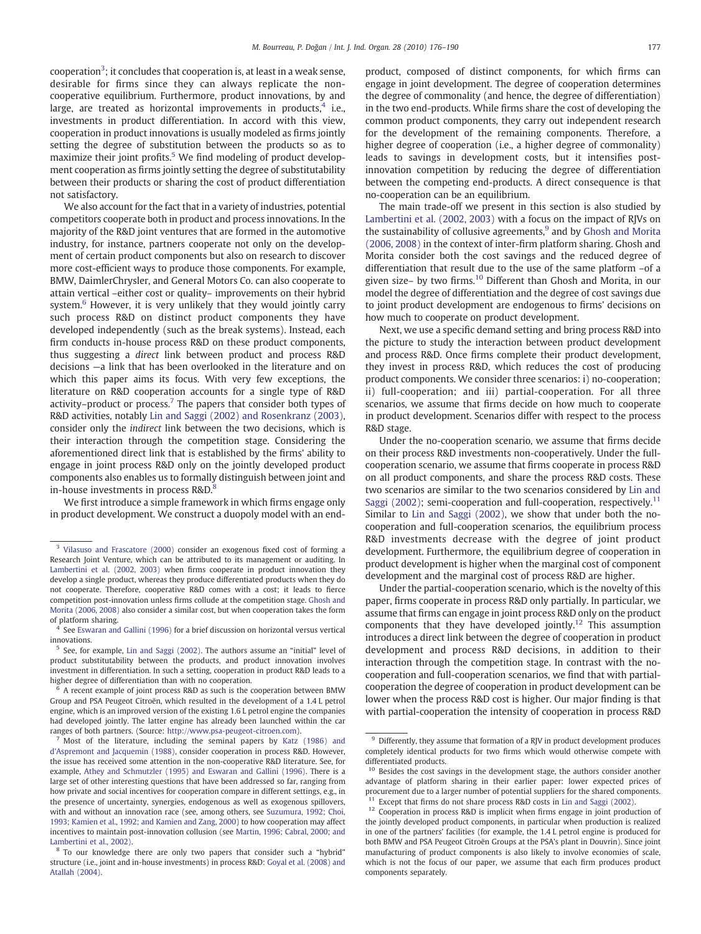cooperation $^3$ ; it concludes that cooperation is, at least in a weak sense, desirable for firms since they can always replicate the noncooperative equilibrium. Furthermore, product innovations, by and large, are treated as horizontal improvements in products, $4$  i.e., investments in product differentiation. In accord with this view, cooperation in product innovations is usually modeled as firms jointly setting the degree of substitution between the products so as to maximize their joint profits.<sup>5</sup> We find modeling of product development cooperation as firms jointly setting the degree of substitutability between their products or sharing the cost of product differentiation not satisfactory.

We also account for the fact that in a variety of industries, potential competitors cooperate both in product and process innovations. In the majority of the R&D joint ventures that are formed in the automotive industry, for instance, partners cooperate not only on the development of certain product components but also on research to discover more cost-efficient ways to produce those components. For example, BMW, DaimlerChrysler, and General Motors Co. can also cooperate to attain vertical –either cost or quality– improvements on their hybrid system. $6$  However, it is very unlikely that they would jointly carry such process R&D on distinct product components they have developed independently (such as the break systems). Instead, each firm conducts in-house process R&D on these product components, thus suggesting a direct link between product and process R&D decisions —a link that has been overlooked in the literature and on which this paper aims its focus. With very few exceptions, the literature on R&D cooperation accounts for a single type of R&D activity–product or process.<sup>7</sup> The papers that consider both types of R&D activities, notably [Lin and Saggi \(2002\) and Rosenkranz \(2003\),](#page--1-0) consider only the indirect link between the two decisions, which is their interaction through the competition stage. Considering the aforementioned direct link that is established by the firms' ability to engage in joint process R&D only on the jointly developed product components also enables us to formally distinguish between joint and in-house investments in process R&D.8

We first introduce a simple framework in which firms engage only in product development. We construct a duopoly model with an endproduct, composed of distinct components, for which firms can engage in joint development. The degree of cooperation determines the degree of commonality (and hence, the degree of differentiation) in the two end-products. While firms share the cost of developing the common product components, they carry out independent research for the development of the remaining components. Therefore, a higher degree of cooperation (i.e., a higher degree of commonality) leads to savings in development costs, but it intensifies postinnovation competition by reducing the degree of differentiation between the competing end-products. A direct consequence is that no-cooperation can be an equilibrium.

The main trade-off we present in this section is also studied by [Lambertini et al. \(2002, 2003\)](#page--1-0) with a focus on the impact of RJVs on the sustainability of collusive agreements,<sup>9</sup> and by [Ghosh and Morita](#page--1-0) [\(2006, 2008\)](#page--1-0) in the context of inter-firm platform sharing. Ghosh and Morita consider both the cost savings and the reduced degree of differentiation that result due to the use of the same platform –of a given size– by two firms.10 Different than Ghosh and Morita, in our model the degree of differentiation and the degree of cost savings due to joint product development are endogenous to firms' decisions on how much to cooperate on product development.

Next, we use a specific demand setting and bring process R&D into the picture to study the interaction between product development and process R&D. Once firms complete their product development, they invest in process R&D, which reduces the cost of producing product components. We consider three scenarios: i) no-cooperation; ii) full-cooperation; and iii) partial-cooperation. For all three scenarios, we assume that firms decide on how much to cooperate in product development. Scenarios differ with respect to the process R&D stage.

Under the no-cooperation scenario, we assume that firms decide on their process R&D investments non-cooperatively. Under the fullcooperation scenario, we assume that firms cooperate in process R&D on all product components, and share the process R&D costs. These two scenarios are similar to the two scenarios considered by [Lin and](#page--1-0) [Saggi \(2002\);](#page--1-0) semi-cooperation and full-cooperation, respectively.<sup>11</sup> Similar to [Lin and Saggi \(2002\),](#page--1-0) we show that under both the nocooperation and full-cooperation scenarios, the equilibrium process R&D investments decrease with the degree of joint product development. Furthermore, the equilibrium degree of cooperation in product development is higher when the marginal cost of component development and the marginal cost of process R&D are higher.

Under the partial-cooperation scenario, which is the novelty of this paper, firms cooperate in process R&D only partially. In particular, we assume that firms can engage in joint process R&D only on the product components that they have developed jointly.<sup>12</sup> This assumption introduces a direct link between the degree of cooperation in product development and process R&D decisions, in addition to their interaction through the competition stage. In contrast with the nocooperation and full-cooperation scenarios, we find that with partialcooperation the degree of cooperation in product development can be lower when the process R&D cost is higher. Our major finding is that with partial-cooperation the intensity of cooperation in process R&D

<sup>&</sup>lt;sup>3</sup> [Vilasuso and Frascatore \(2000\)](#page--1-0) consider an exogenous fixed cost of forming a Research Joint Venture, which can be attributed to its management or auditing. In [Lambertini et al. \(2002, 2003\)](#page--1-0) when firms cooperate in product innovation they develop a single product, whereas they produce differentiated products when they do not cooperate. Therefore, cooperative R&D comes with a cost; it leads to fierce competition post-innovation unless firms collude at the competition stage. [Ghosh and](#page--1-0) [Morita \(2006, 2008\)](#page--1-0) also consider a similar cost, but when cooperation takes the form of platform sharing.

See [Eswaran and Gallini \(1996\)](#page--1-0) for a brief discussion on horizontal versus vertical innovations.

<sup>5</sup> See, for example, [Lin and Saggi \(2002\).](#page--1-0) The authors assume an "initial" level of product substitutability between the products, and product innovation involves investment in differentiation. In such a setting, cooperation in product R&D leads to a higher degree of differentiation than with no cooperation.

<sup>6</sup> A recent example of joint process R&D as such is the cooperation between BMW Group and PSA Peugeot Citroën, which resulted in the development of a 1.4 L petrol engine, which is an improved version of the existing 1.6 L petrol engine the companies had developed jointly. The latter engine has already been launched within the car ranges of both partners. (Source: <http://www.psa-peugeot-citroen.com>).

<sup>7</sup> Most of the literature, including the seminal papers by [Katz \(1986\) and](#page--1-0) [d'Aspremont and Jacquemin \(1988\),](#page--1-0) consider cooperation in process R&D. However, the issue has received some attention in the non-cooperative R&D literature. See, for example, [Athey and Schmutzler \(1995\) and Eswaran and Gallini \(1996\).](#page--1-0) There is a large set of other interesting questions that have been addressed so far, ranging from how private and social incentives for cooperation compare in different settings, e.g., in the presence of uncertainty, synergies, endogenous as well as exogenous spillovers, with and without an innovation race (see, among others, see [Suzumura, 1992; Choi,](#page--1-0) [1993; Kamien et al., 1992; and Kamien and Zang, 2000\)](#page--1-0) to how cooperation may affect incentives to maintain post-innovation collusion (see [Martin, 1996; Cabral, 2000; and](#page--1-0) [Lambertini et al., 2002\).](#page--1-0)

<sup>&</sup>lt;sup>8</sup> To our knowledge there are only two papers that consider such a "hybrid" structure (i.e., joint and in-house investments) in process R&D: [Goyal et al. \(2008\) and](#page--1-0) [Atallah \(2004\)](#page--1-0).

 $9$  Differently, they assume that formation of a RJV in product development produces completely identical products for two firms which would otherwise compete with differentiated products.

<sup>&</sup>lt;sup>10</sup> Besides the cost savings in the development stage, the authors consider another advantage of platform sharing in their earlier paper: lower expected prices of procurement due to a larger number of potential suppliers for the shared components. Except that firms do not share process R&D costs in [Lin and Saggi \(2002\)](#page--1-0).

<sup>&</sup>lt;sup>12</sup> Cooperation in process R&D is implicit when firms engage in joint production of the jointly developed product components, in particular when production is realized in one of the partners' facilities (for example, the 1.4 L petrol engine is produced for both BMW and PSA Peugeot Citroën Groups at the PSA's plant in Douvrin). Since joint manufacturing of product components is also likely to involve economies of scale, which is not the focus of our paper, we assume that each firm produces product components separately.